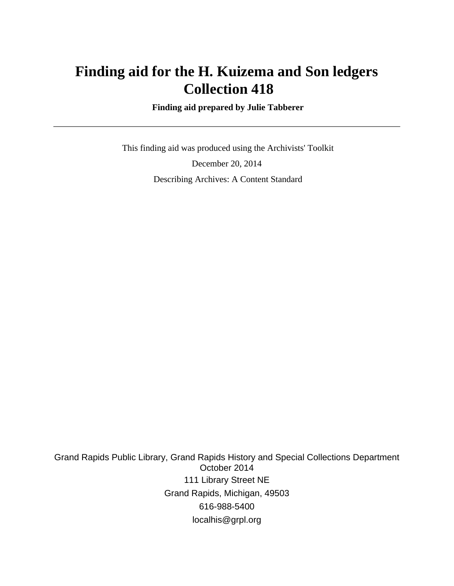# **Finding aid for the H. Kuizema and Son ledgers Collection 418**

 **Finding aid prepared by Julie Tabberer**

 This finding aid was produced using the Archivists' Toolkit December 20, 2014 Describing Archives: A Content Standard

Grand Rapids Public Library, Grand Rapids History and Special Collections Department October 2014 111 Library Street NE Grand Rapids, Michigan, 49503 616-988-5400 localhis@grpl.org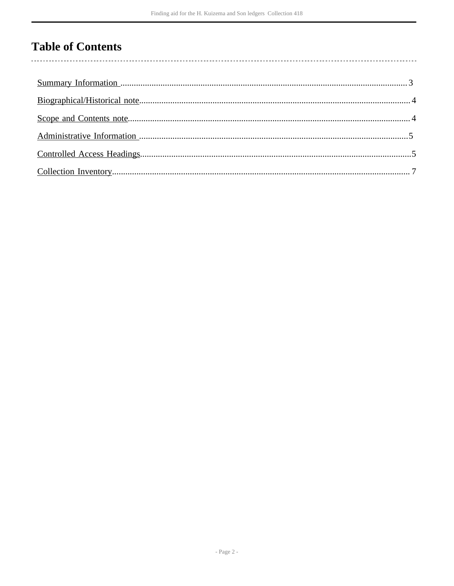## **Table of Contents**

l,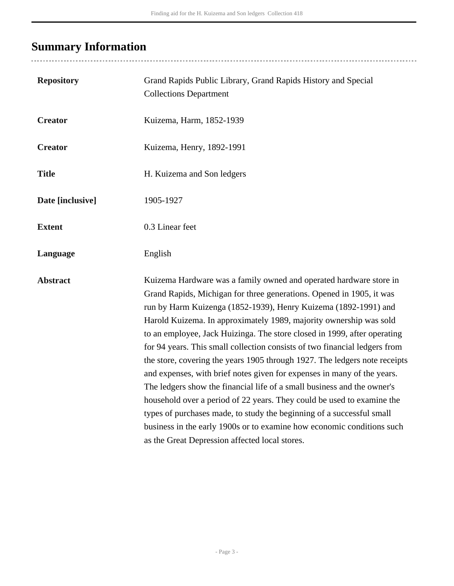# <span id="page-2-0"></span>**Summary Information**

...................................

| <b>Repository</b> | Grand Rapids Public Library, Grand Rapids History and Special<br><b>Collections Department</b>                                                                                                                                                                                                                                                                                                                                                                                                                                                                                                                                                                                                                                                                                                                                                                                                                                                                   |  |
|-------------------|------------------------------------------------------------------------------------------------------------------------------------------------------------------------------------------------------------------------------------------------------------------------------------------------------------------------------------------------------------------------------------------------------------------------------------------------------------------------------------------------------------------------------------------------------------------------------------------------------------------------------------------------------------------------------------------------------------------------------------------------------------------------------------------------------------------------------------------------------------------------------------------------------------------------------------------------------------------|--|
| <b>Creator</b>    | Kuizema, Harm, 1852-1939                                                                                                                                                                                                                                                                                                                                                                                                                                                                                                                                                                                                                                                                                                                                                                                                                                                                                                                                         |  |
| <b>Creator</b>    | Kuizema, Henry, 1892-1991                                                                                                                                                                                                                                                                                                                                                                                                                                                                                                                                                                                                                                                                                                                                                                                                                                                                                                                                        |  |
| <b>Title</b>      | H. Kuizema and Son ledgers                                                                                                                                                                                                                                                                                                                                                                                                                                                                                                                                                                                                                                                                                                                                                                                                                                                                                                                                       |  |
| Date [inclusive]  | 1905-1927                                                                                                                                                                                                                                                                                                                                                                                                                                                                                                                                                                                                                                                                                                                                                                                                                                                                                                                                                        |  |
| <b>Extent</b>     | 0.3 Linear feet                                                                                                                                                                                                                                                                                                                                                                                                                                                                                                                                                                                                                                                                                                                                                                                                                                                                                                                                                  |  |
| Language          | English                                                                                                                                                                                                                                                                                                                                                                                                                                                                                                                                                                                                                                                                                                                                                                                                                                                                                                                                                          |  |
| <b>Abstract</b>   | Kuizema Hardware was a family owned and operated hardware store in<br>Grand Rapids, Michigan for three generations. Opened in 1905, it was<br>run by Harm Kuizenga (1852-1939), Henry Kuizema (1892-1991) and<br>Harold Kuizema. In approximately 1989, majority ownership was sold<br>to an employee, Jack Huizinga. The store closed in 1999, after operating<br>for 94 years. This small collection consists of two financial ledgers from<br>the store, covering the years 1905 through 1927. The ledgers note receipts<br>and expenses, with brief notes given for expenses in many of the years.<br>The ledgers show the financial life of a small business and the owner's<br>household over a period of 22 years. They could be used to examine the<br>types of purchases made, to study the beginning of a successful small<br>business in the early 1900s or to examine how economic conditions such<br>as the Great Depression affected local stores. |  |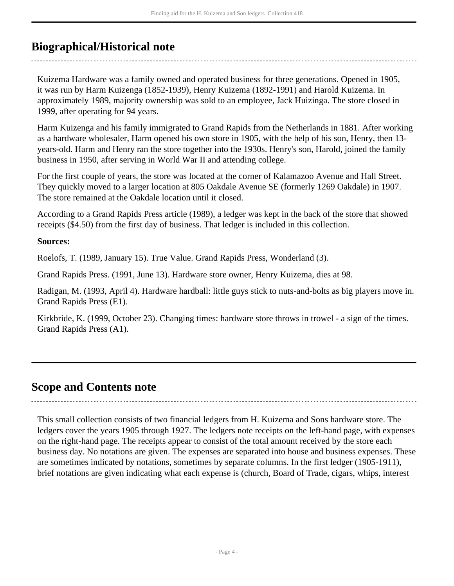## <span id="page-3-0"></span>**Biographical/Historical note**

Kuizema Hardware was a family owned and operated business for three generations. Opened in 1905, it was run by Harm Kuizenga (1852-1939), Henry Kuizema (1892-1991) and Harold Kuizema. In approximately 1989, majority ownership was sold to an employee, Jack Huizinga. The store closed in 1999, after operating for 94 years.

Harm Kuizenga and his family immigrated to Grand Rapids from the Netherlands in 1881. After working as a hardware wholesaler, Harm opened his own store in 1905, with the help of his son, Henry, then 13 years-old. Harm and Henry ran the store together into the 1930s. Henry's son, Harold, joined the family business in 1950, after serving in World War II and attending college.

For the first couple of years, the store was located at the corner of Kalamazoo Avenue and Hall Street. They quickly moved to a larger location at 805 Oakdale Avenue SE (formerly 1269 Oakdale) in 1907. The store remained at the Oakdale location until it closed.

According to a Grand Rapids Press article (1989), a ledger was kept in the back of the store that showed receipts (\$4.50) from the first day of business. That ledger is included in this collection.

#### **Sources:**

Roelofs, T. (1989, January 15). True Value. Grand Rapids Press, Wonderland (3).

Grand Rapids Press. (1991, June 13). Hardware store owner, Henry Kuizema, dies at 98.

Radigan, M. (1993, April 4). Hardware hardball: little guys stick to nuts-and-bolts as big players move in. Grand Rapids Press (E1).

Kirkbride, K. (1999, October 23). Changing times: hardware store throws in trowel - a sign of the times. Grand Rapids Press (A1).

## <span id="page-3-1"></span>**Scope and Contents note**

This small collection consists of two financial ledgers from H. Kuizema and Sons hardware store. The ledgers cover the years 1905 through 1927. The ledgers note receipts on the left-hand page, with expenses on the right-hand page. The receipts appear to consist of the total amount received by the store each business day. No notations are given. The expenses are separated into house and business expenses. These are sometimes indicated by notations, sometimes by separate columns. In the first ledger (1905-1911), brief notations are given indicating what each expense is (church, Board of Trade, cigars, whips, interest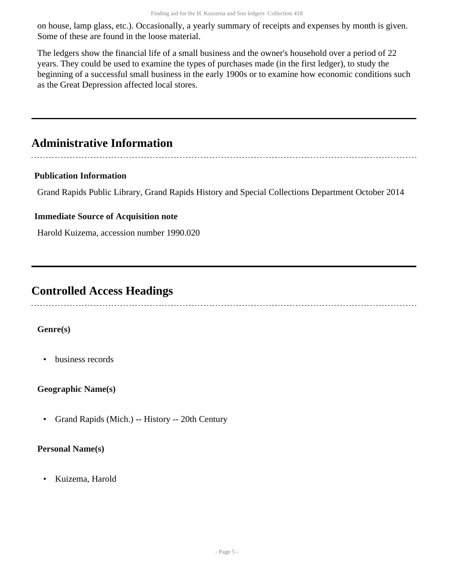on house, lamp glass, etc.). Occasionally, a yearly summary of receipts and expenses by month is given. Some of these are found in the loose material.

The ledgers show the financial life of a small business and the owner's household over a period of 22 years. They could be used to examine the types of purchases made (in the first ledger), to study the beginning of a successful small business in the early 1900s or to examine how economic conditions such as the Great Depression affected local stores.

## <span id="page-4-0"></span>**Administrative Information**

#### **Publication Information**

Grand Rapids Public Library, Grand Rapids History and Special Collections Department October 2014

#### **Immediate Source of Acquisition note**

Harold Kuizema, accession number 1990.020

### <span id="page-4-1"></span>**Controlled Access Headings**

#### **Genre(s)**

• business records

#### **Geographic Name(s)**

• Grand Rapids (Mich.) -- History -- 20th Century

#### **Personal Name(s)**

• Kuizema, Harold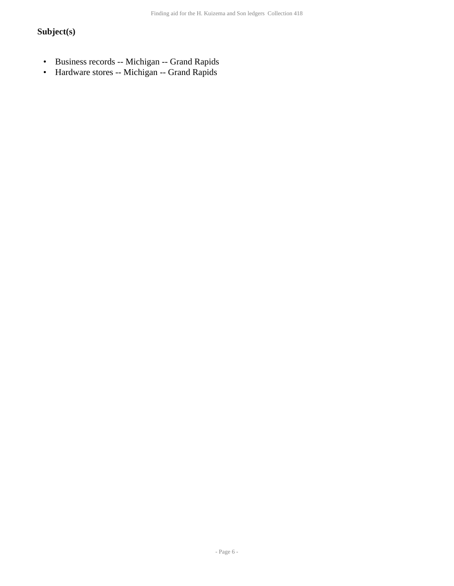### **Subject(s)**

- Business records -- Michigan -- Grand Rapids<br>• Hardware stores -- Michigan -- Grand Rapids
- Hardware stores -- Michigan -- Grand Rapids